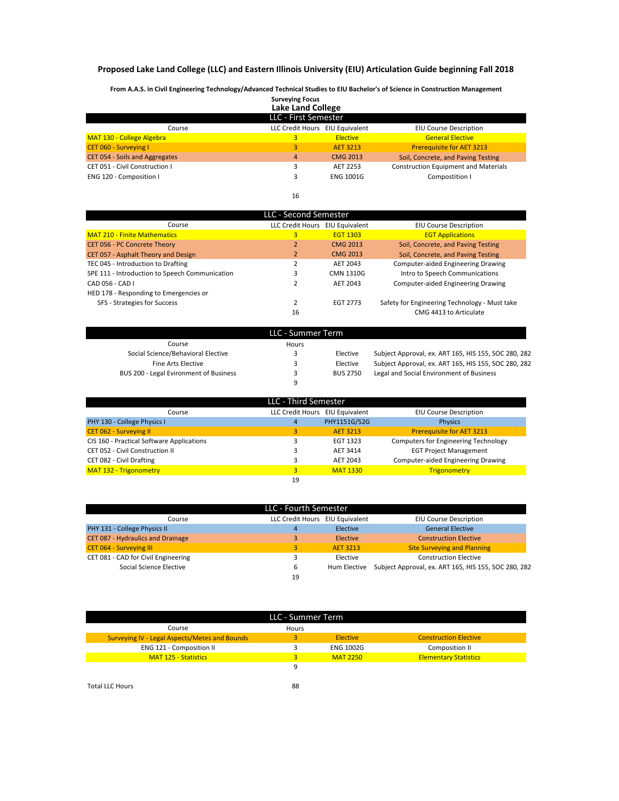## **Proposed Lake Land College (LLC) and Eastern Illinois University (EIU) Articulation Guide beginning Fall 2018**

**From A.A.S. in Civil Engineering Technology/Advanced Technical Studies to EIU Bachelor's of Science in Construction Management**

|                                | <b>Surveying Focus</b><br><b>Lake Land College</b> |                  |                                             |
|--------------------------------|----------------------------------------------------|------------------|---------------------------------------------|
|                                | LLC - First Semester                               |                  |                                             |
| Course                         | <b>LLC Credit Hours</b>                            | EIU Equivalent   | <b>EIU Course Description</b>               |
| MAT 130 - College Algebra      | 3.                                                 | <b>Elective</b>  | <b>General Elective</b>                     |
| CET 060 - Surveying I          | 3                                                  | <b>AET 3213</b>  | <b>Prerequisite for AET 3213</b>            |
| CET 054 - Soils and Aggregates | $\overline{4}$                                     | <b>CMG 2013</b>  | Soil, Concrete, and Paving Testing          |
| CET 051 - Civil Construction I |                                                    | AET 2253         | <b>Construction Equipment and Materials</b> |
| ENG 120 - Composition I        | 3                                                  | <b>ENG 1001G</b> | Compostition I                              |
|                                |                                                    |                  |                                             |
|                                | 16                                                 |                  |                                             |

| LLC - Second Semester                          |                  |                 |                                               |  |  |  |
|------------------------------------------------|------------------|-----------------|-----------------------------------------------|--|--|--|
| Course                                         | LLC Credit Hours | EIU Equivalent  | <b>EIU Course Description</b>                 |  |  |  |
| <b>MAT 210 - Finite Mathematics</b>            | $\overline{3}$   | <b>EGT 1303</b> | <b>EGT Applications</b>                       |  |  |  |
| <b>CET 056 - PC Concrete Theory</b>            | $\overline{2}$   | <b>CMG 2013</b> | Soil, Concrete, and Paving Testing            |  |  |  |
| CET 057 - Asphalt Theory and Design            | $\overline{2}$   | <b>CMG 2013</b> | Soil, Concrete, and Paving Testing            |  |  |  |
| TEC 045 - Introduction to Drafting             |                  | AET 2043        | <b>Computer-aided Engineering Drawing</b>     |  |  |  |
| SPE 111 - Introduction to Speech Communication | 3                | CMN 1310G       | Intro to Speech Communications                |  |  |  |
| CAD 056 - CAD I                                |                  | AET 2043        | <b>Computer-aided Engineering Drawing</b>     |  |  |  |
| HED 178 - Responding to Emergencies or         |                  |                 |                                               |  |  |  |
| SFS - Strategies for Success                   |                  | <b>EGT 2773</b> | Safety for Engineering Technology - Must take |  |  |  |
|                                                | 16               |                 | CMG 4413 to Articulate                        |  |  |  |

| LLC - Summer Term                      |       |                 |                                                      |  |  |  |
|----------------------------------------|-------|-----------------|------------------------------------------------------|--|--|--|
| Course                                 | Hours |                 |                                                      |  |  |  |
| Social Science/Behavioral Elective     |       | Elective        | Subject Approval, ex. ART 165, HIS 155, SOC 280, 282 |  |  |  |
| Fine Arts Elective                     |       | Elective        | Subject Approval, ex. ART 165, HIS 155, SOC 280, 282 |  |  |  |
| BUS 200 - Legal Evironment of Business |       | <b>BUS 2750</b> | Legal and Social Environment of Business             |  |  |  |
|                                        | a     |                 |                                                      |  |  |  |

| LLC - Third Semester                      |                  |                 |                                             |  |  |  |
|-------------------------------------------|------------------|-----------------|---------------------------------------------|--|--|--|
| Course                                    | LLC Credit Hours | EIU Equivalent  | <b>EIU Course Description</b>               |  |  |  |
| PHY 130 - College Physics I               | $\overline{4}$   | PHY1151G/52G    | <b>Physics</b>                              |  |  |  |
| <b>CET 062 - Surveying II</b>             | 3.               | <b>AET 3213</b> | <b>Prerequisite for AET 3213</b>            |  |  |  |
| CIS 160 - Practical Software Applications |                  | EGT 1323        | <b>Computers for Engineering Technology</b> |  |  |  |
| CET 052 - Civil Construction II           | 3                | AET 3414        | <b>EGT Project Management</b>               |  |  |  |
| CET 082 - Civil Drafting                  | 3                | AET 2043        | <b>Computer-aided Engineering Drawing</b>   |  |  |  |
| MAT 132 - Trigonometry                    | $\mathbf{3}$     | <b>MAT 1330</b> | <b>Trigonometry</b>                         |  |  |  |
|                                           | 19               |                 |                                             |  |  |  |

| LLC - Fourth Semester               |                                 |          |                                                                   |  |  |  |
|-------------------------------------|---------------------------------|----------|-------------------------------------------------------------------|--|--|--|
| Course                              | LLC Credit Hours EIU Equivalent |          | <b>EIU Course Description</b>                                     |  |  |  |
| PHY 131 - College Physics II        | 4                               | Elective | <b>General Elective</b>                                           |  |  |  |
| CET 087 - Hydraulics and Drainage   |                                 | Elective | <b>Construction Elective</b>                                      |  |  |  |
| <b>CET 064 - Surveying III</b>      | 3.                              | AET 3213 | <b>Site Surveying and Planning</b>                                |  |  |  |
| CET 081 - CAD for Civil Engineering |                                 | Elective | <b>Construction Elective</b>                                      |  |  |  |
| Social Science Elective             | 6                               |          | Hum Elective Subject Approval, ex. ART 165, HIS 155, SOC 280, 282 |  |  |  |
|                                     | 19                              |          |                                                                   |  |  |  |

| LLC - Summer Term                                    |       |                  |                              |  |  |
|------------------------------------------------------|-------|------------------|------------------------------|--|--|
| Course                                               | Hours |                  |                              |  |  |
| <b>Surveying IV - Legal Aspects/Metes and Bounds</b> | з     | Elective         | <b>Construction Elective</b> |  |  |
| ENG 121 - Composition II                             |       | <b>ENG 1002G</b> | Composition II               |  |  |
| <b>MAT 125 - Statistics</b>                          | 3     | <b>MAT 2250</b>  | <b>Elementary Statistics</b> |  |  |
|                                                      | 9     |                  |                              |  |  |
|                                                      |       |                  |                              |  |  |
| <b>Total LLC Hours</b>                               | 88    |                  |                              |  |  |